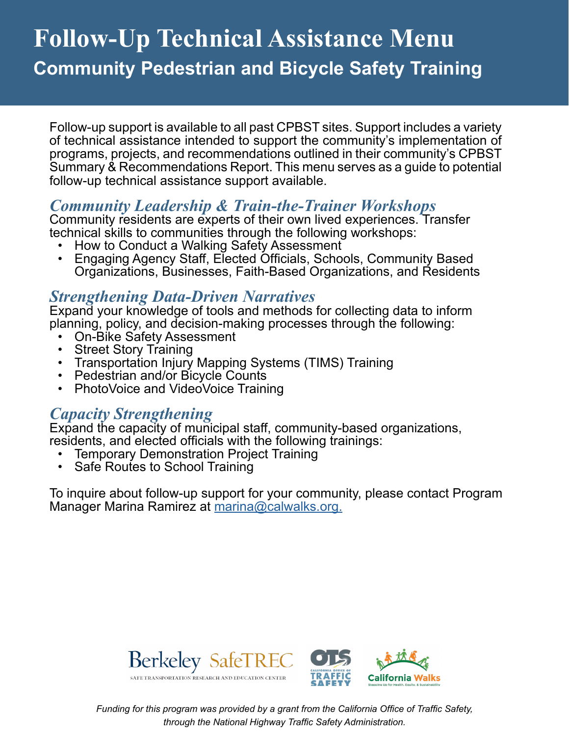# **Follow-Up Technical Assistance Menu Community Pedestrian and Bicycle Safety Training**

Follow-up support is available to all past CPBST sites. Support includes a variety of technical assistance intended to support the community's implementation of programs, projects, and recommendations outlined in their community's CPBST Summary & Recommendations Report. This menu serves as a guide to potential follow-up technical assistance support available.

### *Community Leadership & Train-the-Trainer Workshops*

Community residents are experts of their own lived experiences. Transfer technical skills to communities through the following workshops:

- How to Conduct a Walking Safety Assessment
- Engaging Agency Staff, Elected Officials, Schools, Community Based Organizations, Businesses, Faith-Based Organizations, and Residents

#### *Strengthening Data-Driven Narratives*

Expand your knowledge of tools and methods for collecting data to inform planning, policy, and decision-making processes through the following:<br>• On-Bike Safety Assessment

- 
- 
- Street Story Training<br>• Transportation Injury Mapping Systems (TIMS) Training<br>• PhotoVoice and VideoVoice Training<br>• PhotoVoice and VideoVoice Training
- 
- 

### *Capacity Strengthening*

Expand the capacity of municipal staff, community-based organizations, residents, and elected officials with the following trainings:

- Temporary Demonstration Project Training
- Safe Routes to School Training

To inquire about follow-up support for your community, please contact Program Manager Marina Ramirez at [marina@calwalks.org.](mailto:marina%40calwalks.org.?subject=)





*Funding for this program was provided by a grant from the California Office of Traffic Safety, through the National Highway Traffic Safety Administration.*